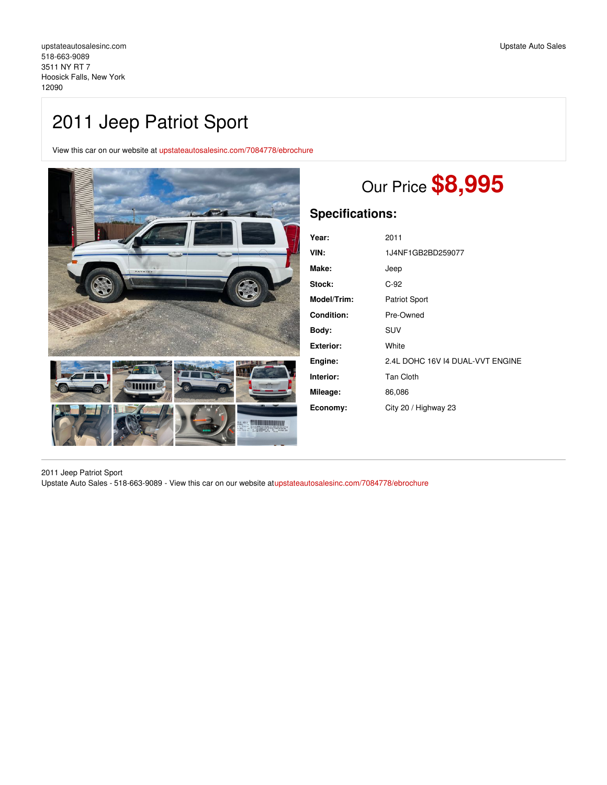# 2011 Jeep Patriot Sport

View this car on our website at [upstateautosalesinc.com/7084778/ebrochure](https://upstateautosalesinc.com/vehicle/7084778/2011-jeep-patriot-sport-hoosick-falls-new-york-12090/7084778/ebrochure)



# Our Price **\$8,995**

## **Specifications:**

| Year:             | 2011                             |
|-------------------|----------------------------------|
| VIN:              | 1J4NF1GB2BD259077                |
| Make:             | Jeep                             |
| Stock:            | $C-92$                           |
| Model/Trim:       | <b>Patriot Sport</b>             |
| <b>Condition:</b> | Pre-Owned                        |
| Body:             | SUV                              |
| Exterior:         | White                            |
| Engine:           | 2.4L DOHC 16V I4 DUAL-VVT ENGINE |
| Interior:         | <b>Tan Cloth</b>                 |
| Mileage:          | 86,086                           |
| Economy:          | City 20 / Highway 23             |

2011 Jeep Patriot Sport Upstate Auto Sales - 518-663-9089 - View this car on our website a[tupstateautosalesinc.com/7084778/ebrochure](https://upstateautosalesinc.com/vehicle/7084778/2011-jeep-patriot-sport-hoosick-falls-new-york-12090/7084778/ebrochure)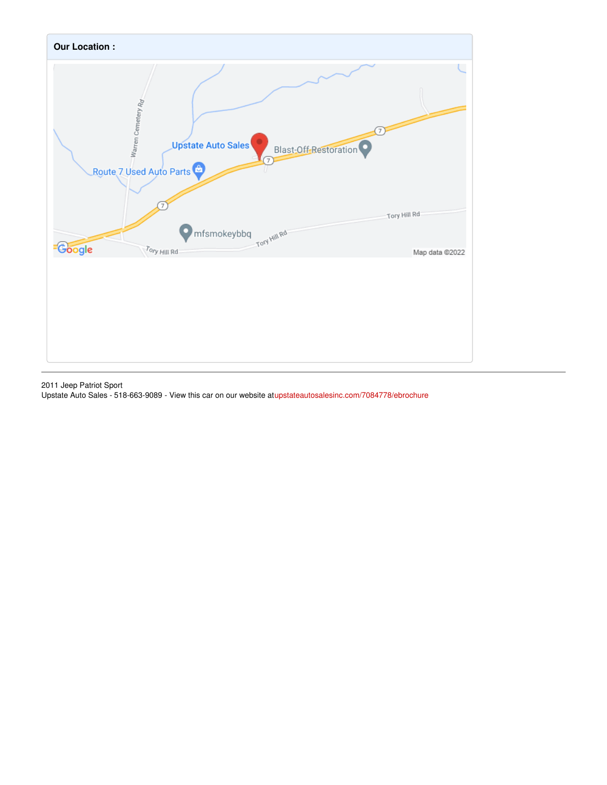

2011 Jeep Patriot Sport Upstate Auto Sales - 518-663-9089 - View this car on our website a[tupstateautosalesinc.com/7084778/ebrochure](https://upstateautosalesinc.com/vehicle/7084778/2011-jeep-patriot-sport-hoosick-falls-new-york-12090/7084778/ebrochure)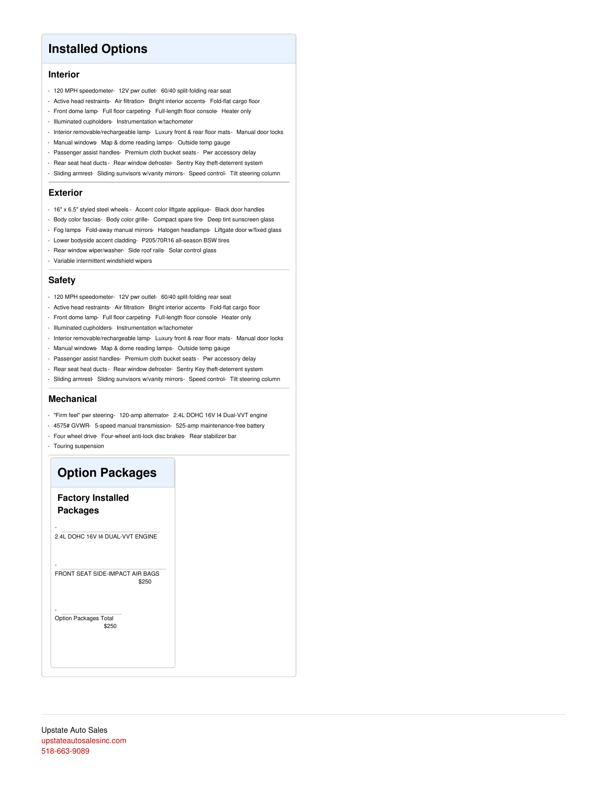## **Installed Options**

### **Interior**

- 120 MPH speedometer- 12V pwr outlet- 60/40 split-folding rear seat
- Active head restraints- Air filtration- Bright interior accents- Fold-flat cargo floor
- Front dome lamp- Full floor carpeting- Full-length floor console- Heater only
- Illuminated cupholders- Instrumentation w/tachometer
- Interior removable/rechargeable lamp- Luxury front & rear floor mats- Manual door locks
- Manual windows- Map & dome reading lamps- Outside temp gauge
- Passenger assist handles- Premium cloth bucket seats Pwr accessory delay
- Rear seat heat ducts Rear window defroster- Sentry Key theft-deterrent system
- Sliding armrest- Sliding sunvisors w/vanity mirrors- Speed control- Tilt steering column

#### **Exterior**

- 16" x 6.5" styled steel wheels Accent color liftgate applique- Black door handles
- Body color fascias- Body color grille- Compact spare tire- Deep tint sunscreen glass
- Fog lamps- Fold-away manual mirrors- Halogen headlamps- Liftgate door w/fixed glass
- Lower bodyside accent cladding- P205/70R16 all-season BSW tires
- Rear window wiper/washer- Side roof rails- Solar control glass
- Variable intermittent windshield wipers

#### **Safety**

- 120 MPH speedometer- 12V pwr outlet- 60/40 split-folding rear seat
- Active head restraints- Air filtration- Bright interior accents- Fold-flat cargo floor
- Front dome lamp- Full floor carpeting- Full-length floor console- Heater only
- Illuminated cupholders- Instrumentation w/tachometer
- Interior removable/rechargeable lamp- Luxury front & rear floor mats- Manual door locks
- Manual windows- Map & dome reading lamps- Outside temp gauge
- Passenger assist handles- Premium cloth bucket seats Pwr accessory delay
- Rear seat heat ducts Rear window defroster- Sentry Key theft-deterrent system
- Sliding armrest- Sliding sunvisors w/vanity mirrors- Speed control- Tilt steering column

#### **Mechanical**

- "Firm feel" pwr steering- 120-amp alternator- 2.4L DOHC 16V I4 Dual-VVT engine
- 4575# GVWR- 5-speed manual transmission- 525-amp maintenance-free battery
- Four wheel drive- Four-wheel anti-lock disc brakes- Rear stabilizer bar
- Touring suspension

-

-

-

## **Option Packages**

### **Factory Installed Packages**

2.4L DOHC 16V I4 DUAL-VVT ENGINE

\$250 FRONT SEAT SIDE-IMPACT AIR BAGS

\$250 Option Packages Total

Upstate Auto Sales [upstateautosalesinc.com](file:////tmp/upstateautosalesinc.com) [518-663-9089](tel:518-663-9089)